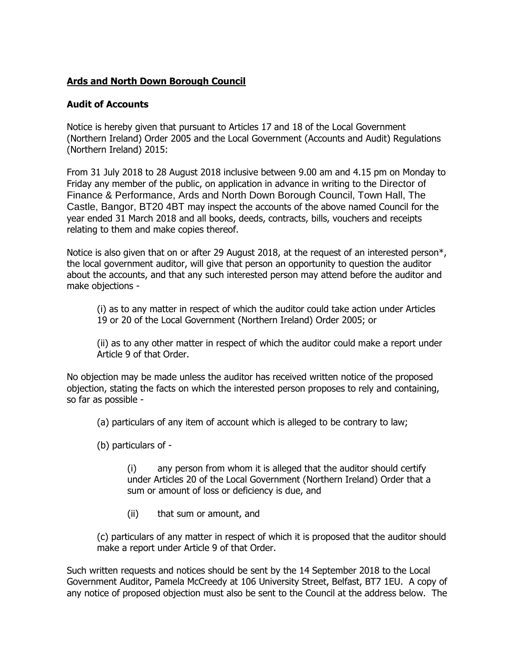## **Ards and North Down Borough Council**

## **Audit of Accounts**

Notice is hereby given that pursuant to Articles 17 and 18 of the Local Government (Northern Ireland) Order 2005 and the Local Government (Accounts and Audit) Regulations (Northern Ireland) 2015:

From 31 July 2018 to 28 August 2018 inclusive between 9.00 am and 4.15 pm on Monday to Friday any member of the public, on application in advance in writing to the Director of Finance & Performance, Ards and North Down Borough Council, Town Hall, The Castle, Bangor, BT20 4BT may inspect the accounts of the above named Council for the year ended 31 March 2018 and all books, deeds, contracts, bills, vouchers and receipts relating to them and make copies thereof.

Notice is also given that on or after 29 August 2018, at the request of an interested person\*, the local government auditor, will give that person an opportunity to question the auditor about the accounts, and that any such interested person may attend before the auditor and make objections -

(i) as to any matter in respect of which the auditor could take action under Articles 19 or 20 of the Local Government (Northern Ireland) Order 2005; or

(ii) as to any other matter in respect of which the auditor could make a report under Article 9 of that Order.

No objection may be made unless the auditor has received written notice of the proposed objection, stating the facts on which the interested person proposes to rely and containing, so far as possible -

(a) particulars of any item of account which is alleged to be contrary to law;

(b) particulars of -

(i) any person from whom it is alleged that the auditor should certify under Articles 20 of the Local Government (Northern Ireland) Order that a sum or amount of loss or deficiency is due, and

(ii) that sum or amount, and

(c) particulars of any matter in respect of which it is proposed that the auditor should make a report under Article 9 of that Order.

Such written requests and notices should be sent by the 14 September 2018 to the Local Government Auditor, Pamela McCreedy at 106 University Street, Belfast, BT7 1EU. A copy of any notice of proposed objection must also be sent to the Council at the address below. The